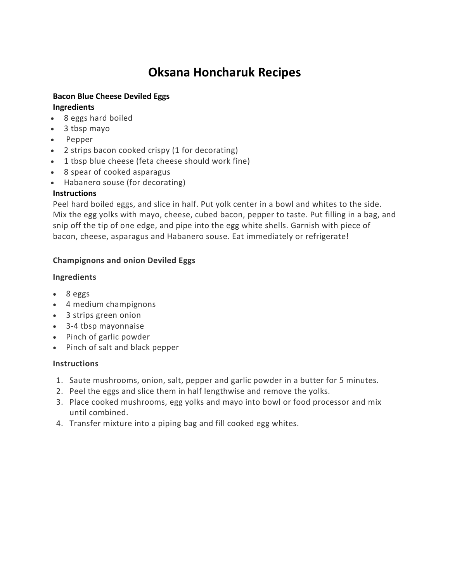# **Oksana Honcharuk Recipes**

# **Bacon Blue Cheese Deviled Eggs Ingredients**

- 8 eggs hard boiled
- 3 tbsp mayo
- Pepper
- 2 strips bacon cooked crispy (1 for decorating)
- 1 tbsp blue cheese (feta cheese should work fine)
- 8 spear of cooked asparagus
- Habanero souse (for decorating)

#### **Instructions**

Peel hard boiled eggs, and slice in half. Put yolk center in a bowl and whites to the side. Mix the egg yolks with mayo, cheese, cubed bacon, pepper to taste. Put filling in a bag, and snip off the tip of one edge, and pipe into the egg white shells. Garnish with piece of bacon, cheese, asparagus and Habanero souse. Eat immediately or refrigerate!

### **Champignons and onion Deviled Eggs**

### **Ingredients**

- 8 eggs
- 4 medium champignons
- 3 strips green onion
- 3-4 tbsp mayonnaise
- Pinch of garlic powder
- Pinch of salt and black pepper

### **Instructions**

- 1. Saute mushrooms, onion, salt, pepper and garlic powder in a butter for 5 minutes.
- 2. Peel the eggs and slice them in half lengthwise and remove the yolks.
- 3. Place cooked mushrooms, egg yolks and mayo into bowl or food processor and mix until combined.
- 4. Transfer mixture into a piping bag and fill cooked egg whites.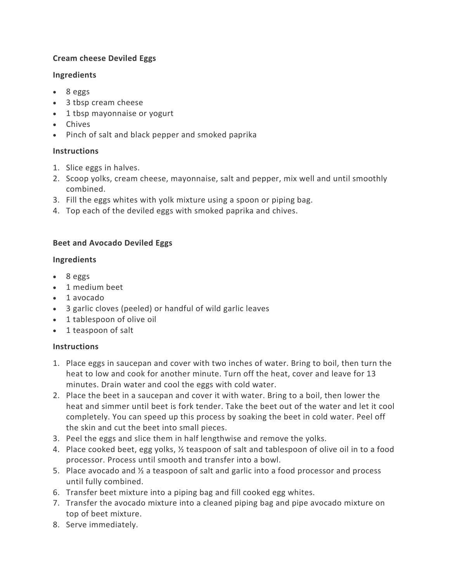### **Cream cheese Deviled Eggs**

### **Ingredients**

- 8 eggs
- 3 tbsp cream cheese
- 1 tbsp mayonnaise or yogurt
- Chives
- Pinch of salt and black pepper and smoked paprika

# **Instructions**

- 1. Slice eggs in halves.
- 2. Scoop yolks, cream cheese, mayonnaise, salt and pepper, mix well and until smoothly combined.
- 3. Fill the eggs whites with yolk mixture using a spoon or piping bag.
- 4. Top each of the deviled eggs with smoked paprika and chives.

# **Beet and Avocado Deviled Eggs**

# **Ingredients**

- 8 eggs
- 1 medium beet
- 1 avocado
- 3 garlic cloves (peeled) or handful of wild garlic leaves
- 1 tablespoon of olive oil
- 1 teaspoon of salt

# **Instructions**

- 1. Place eggs in saucepan and cover with two inches of water. Bring to boil, then turn the heat to low and cook for another minute. Turn off the heat, cover and leave for 13 minutes. Drain water and cool the eggs with cold water.
- 2. Place the beet in a saucepan and cover it with water. Bring to a boil, then lower the heat and simmer until beet is fork tender. Take the beet out of the water and let it cool completely. You can speed up this process by soaking the beet in cold water. Peel off the skin and cut the beet into small pieces.
- 3. Peel the eggs and slice them in half lengthwise and remove the yolks.
- 4. Place cooked beet, egg yolks, ½ teaspoon of salt and tablespoon of olive oil in to a food processor. Process until smooth and transfer into a bowl.
- 5. Place avocado and ½ a teaspoon of salt and garlic into a food processor and process until fully combined.
- 6. Transfer beet mixture into a piping bag and fill cooked egg whites.
- 7. Transfer the avocado mixture into a cleaned piping bag and pipe avocado mixture on top of beet mixture.
- 8. Serve immediately.